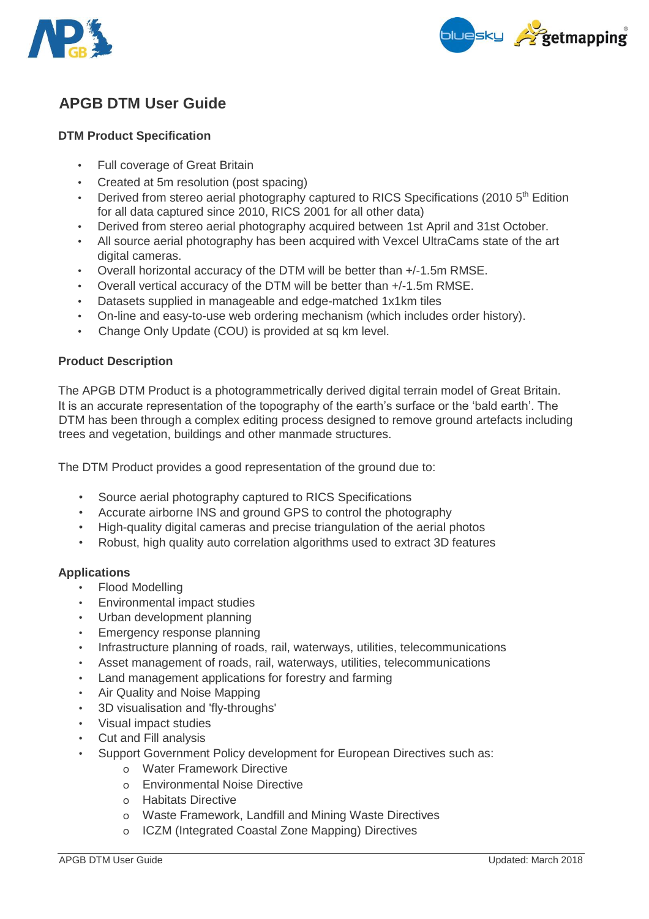



# **APGB DTM User Guide**

# **DTM Product Specification**

- Full coverage of Great Britain
- Created at 5m resolution (post spacing)
- Derived from stereo aerial photography captured to RICS Specifications (2010  $5<sup>th</sup>$  Edition for all data captured since 2010, RICS 2001 for all other data)
- Derived from stereo aerial photography acquired between 1st April and 31st October.
- All source aerial photography has been acquired with Vexcel UltraCams state of the art digital cameras.
- Overall horizontal accuracy of the DTM will be better than +/-1.5m RMSE.
- Overall vertical accuracy of the DTM will be better than +/-1.5m RMSE.
- Datasets supplied in manageable and edge-matched 1x1km tiles
- On-line and easy-to-use web ordering mechanism (which includes order history).
- Change Only Update (COU) is provided at sq km level.

## **Product Description**

The APGB DTM Product is a photogrammetrically derived digital terrain model of Great Britain. It is an accurate representation of the topography of the earth's surface or the 'bald earth'. The DTM has been through a complex editing process designed to remove ground artefacts including trees and vegetation, buildings and other manmade structures.

The DTM Product provides a good representation of the ground due to:

- Source aerial photography captured to RICS Specifications
- Accurate airborne INS and ground GPS to control the photography
- High-quality digital cameras and precise triangulation of the aerial photos
- Robust, high quality auto correlation algorithms used to extract 3D features

## **Applications**

- Flood Modelling
- Environmental impact studies
- Urban development planning
- Emergency response planning
- Infrastructure planning of roads, rail, waterways, utilities, telecommunications
- Asset management of roads, rail, waterways, utilities, telecommunications
- Land management applications for forestry and farming
- Air Quality and Noise Mapping
- 3D visualisation and 'fly-throughs'
- Visual impact studies
- Cut and Fill analysis
- Support Government Policy development for European Directives such as:
	- o Water Framework Directive
	- o Environmental Noise Directive
	- o Habitats Directive
	- o Waste Framework, Landfill and Mining Waste Directives
	- o ICZM (Integrated Coastal Zone Mapping) Directives